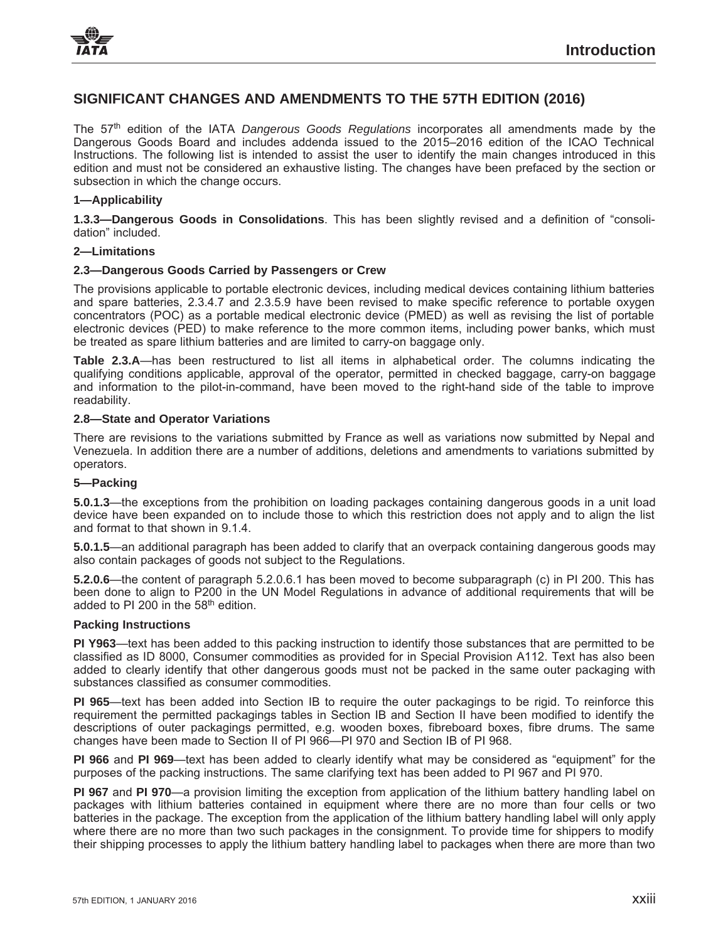# **SIGNIFICANT CHANGES AND AMENDMENTS TO THE 57TH EDITION (2016)**

The 57th edition of the IATA *Dangerous Goods Regulations* incorporates all amendments made by the Dangerous Goods Board and includes addenda issued to the 2015–2016 edition of the ICAO Technical Instructions. The following list is intended to assist the user to identify the main changes introduced in this edition and must not be considered an exhaustive listing. The changes have been prefaced by the section or subsection in which the change occurs.

# **1—Applicability**

**1.3.3—Dangerous Goods in Consolidations**. This has been slightly revised and a definition of "consolidation" included.

## **2—Limitations**

# **2.3—Dangerous Goods Carried by Passengers or Crew**

The provisions applicable to portable electronic devices, including medical devices containing lithium batteries and spare batteries, 2.3.4.7 and 2.3.5.9 have been revised to make specific reference to portable oxygen concentrators (POC) as a portable medical electronic device (PMED) as well as revising the list of portable electronic devices (PED) to make reference to the more common items, including power banks, which must be treated as spare lithium batteries and are limited to carry-on baggage only.

**Table 2.3.A**—has been restructured to list all items in alphabetical order. The columns indicating the qualifying conditions applicable, approval of the operator, permitted in checked baggage, carry-on baggage and information to the pilot-in-command, have been moved to the right-hand side of the table to improve readability.

## **2.8—State and Operator Variations**

There are revisions to the variations submitted by France as well as variations now submitted by Nepal and Venezuela. In addition there are a number of additions, deletions and amendments to variations submitted by operators.

# **5—Packing**

**5.0.1.3**—the exceptions from the prohibition on loading packages containing dangerous goods in a unit load device have been expanded on to include those to which this restriction does not apply and to align the list and format to that shown in 9.1.4

**5.0.1.5**—an additional paragraph has been added to clarify that an overpack containing dangerous goods may also contain packages of goods not subject to the Regulations.

**5.2.0.6**—the content of paragraph 5.2.0.6.1 has been moved to become subparagraph (c) in PI 200. This has been done to align to P200 in the UN Model Regulations in advance of additional requirements that will be added to PI 200 in the 58<sup>th</sup> edition.

#### **Packing Instructions**

**PI Y963**—text has been added to this packing instruction to identify those substances that are permitted to be classified as ID 8000, Consumer commodities as provided for in Special Provision A112. Text has also been added to clearly identify that other dangerous goods must not be packed in the same outer packaging with substances classified as consumer commodities.

**PI 965**—text has been added into Section IB to require the outer packagings to be rigid. To reinforce this requirement the permitted packagings tables in Section IB and Section II have been modified to identify the descriptions of outer packagings permitted, e.g. wooden boxes, fibreboard boxes, fibre drums. The same changes have been made to Section II of PI 966—PI 970 and Section IB of PI 968.

**PI 966** and **PI 969**—text has been added to clearly identify what may be considered as "equipment" for the purposes of the packing instructions. The same clarifying text has been added to PI 967 and PI 970.

**PI 967** and **PI 970**—a provision limiting the exception from application of the lithium battery handling label on packages with lithium batteries contained in equipment where there are no more than four cells or two batteries in the package. The exception from the application of the lithium battery handling label will only apply where there are no more than two such packages in the consignment. To provide time for shippers to modify their shipping processes to apply the lithium battery handling label to packages when there are more than two